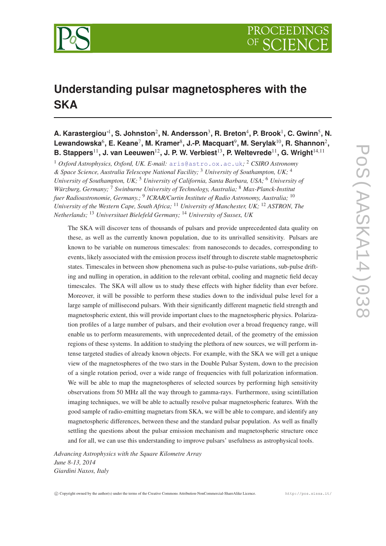

# **Understanding pulsar magnetospheres with the SKA**

## **A. Karastergiou**∗<sup>1</sup> **, S. Johnston**<sup>2</sup> **, N. Andersson**<sup>3</sup> **, R. Breton**<sup>4</sup> **, P. Brook**<sup>1</sup> **, C. Gwinn**<sup>5</sup> **, N.** Lewandowska<sup>6</sup>, E. Keane<sup>7</sup>, M. Kramer<sup>8</sup>, J.-P. Macquart<sup>9</sup>, M. Serylak<sup>10</sup>, R. Shannon<sup>2</sup>, **B. Stappers**11**, J. van Leeuwen**12**, J. P. W. Verbiest**13**, P. Weltevrede**11**, G. Wright**14,<sup>11</sup>

<sup>1</sup> *Oxford Astrophysics, Oxford, UK. E-mail:* [aris@astro.ox.ac.uk](mailto:aris@astro.ox.ac.uk)*;* <sup>2</sup> *CSIRO Astronomy & Space Science, Australia Telescope National Facility;* <sup>3</sup> *University of Southampton, UK;* <sup>4</sup> *University of Southampton, UK;* <sup>5</sup> *University of California, Santa Barbara, USA;* <sup>6</sup> *University of Würzburg, Germany;* <sup>7</sup> *Swinburne University of Technology, Australia;* <sup>8</sup> *Max-Planck-Institut fuer Radioastronomie, Germany.;* <sup>9</sup> *ICRAR/Curtin Institute of Radio Astronomy, Australia;* <sup>10</sup> *University of the Western Cape, South Africa;* <sup>11</sup> *University of Manchester, UK;* <sup>12</sup> *ASTRON, The Netherlands;* <sup>13</sup> *Universitaet Bielefeld Germany;* <sup>14</sup> *University of Sussex, UK*

The SKA will discover tens of thousands of pulsars and provide unprecedented data quality on these, as well as the currently known population, due to its unrivalled sensitivity. Pulsars are known to be variable on numerous timescales: from nanoseconds to decades, corresponding to events, likely associated with the emission process itself through to discrete stable magnetospheric states. Timescales in between show phenomena such as pulse-to-pulse variations, sub-pulse drifting and nulling in operation, in addition to the relevant orbital, cooling and magnetic field decay timescales. The SKA will allow us to study these effects with higher fidelity than ever before. Moreover, it will be possible to perform these studies down to the individual pulse level for a large sample of millisecond pulsars. With their significantly different magnetic field strength and magnetospheric extent, this will provide important clues to the magnetospheric physics. Polarization profiles of a large number of pulsars, and their evolution over a broad frequency range, will enable us to perform measurements, with unprecedented detail, of the geometry of the emission regions of these systems. In addition to studying the plethora of new sources, we will perform intense targeted studies of already known objects. For example, with the SKA we will get a unique view of the magnetospheres of the two stars in the Double Pulsar System, down to the precision of a single rotation period, over a wide range of frequencies with full polarization information. We will be able to map the magnetospheres of selected sources by performing high sensitivity observations from 50 MHz all the way through to gamma-rays. Furthermore, using scintillation imaging techniques, we will be able to actually resolve pulsar magnetospheric features. With the good sample of radio-emitting magnetars from SKA, we will be able to compare, and identify any magnetospheric differences, between these and the standard pulsar population. As well as finally settling the questions about the pulsar emission mechanism and magnetospheric structure once and for all, we can use this understanding to improve pulsars' usefulness as astrophysical tools.

*Advancing Astrophysics with the Square Kilometre Array June 8-13, 2014 Giardini Naxos, Italy*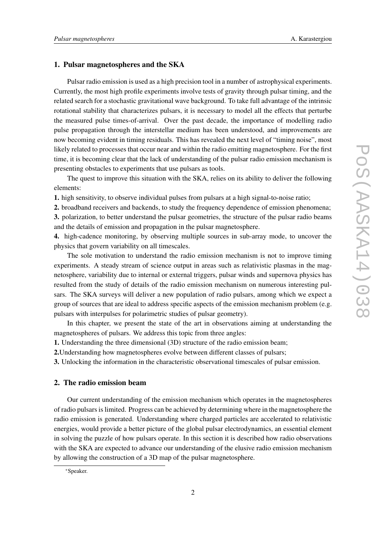## 1. Pulsar magnetospheres and the SKA

Pulsar radio emission is used as a high precision tool in a number of astrophysical experiments. Currently, the most high profile experiments involve tests of gravity through pulsar timing, and the related search for a stochastic gravitational wave background. To take full advantage of the intrinsic rotational stability that characterizes pulsars, it is necessary to model all the effects that perturbe the measured pulse times-of-arrival. Over the past decade, the importance of modelling radio pulse propagation through the interstellar medium has been understood, and improvements are now becoming evident in timing residuals. This has revealed the next level of "timing noise", most likely related to processes that occur near and within the radio emitting magnetosphere. For the first time, it is becoming clear that the lack of understanding of the pulsar radio emission mechanism is presenting obstacles to experiments that use pulsars as tools.

The quest to improve this situation with the SKA, relies on its ability to deliver the following elements:

1. high sensitivity, to observe individual pulses from pulsars at a high signal-to-noise ratio;

2. broadband receivers and backends, to study the frequency dependence of emission phenomena; 3. polarization, to better understand the pulsar geometries, the structure of the pulsar radio beams and the details of emission and propagation in the pulsar magnetosphere.

4. high-cadence monitoring, by observing multiple sources in sub-array mode, to uncover the physics that govern variability on all timescales.

The sole motivation to understand the radio emission mechanism is not to improve timing experiments. A steady stream of science output in areas such as relativistic plasmas in the magnetosphere, variability due to internal or external triggers, pulsar winds and supernova physics has resulted from the study of details of the radio emission mechanism on numerous interesting pulsars. The SKA surveys will deliver a new population of radio pulsars, among which we expect a group of sources that are ideal to address specific aspects of the emission mechanism problem (e.g. pulsars with interpulses for polarimetric studies of pulsar geometry).

In this chapter, we present the state of the art in observations aiming at understanding the magnetospheres of pulsars. We address this topic from three angles:

1. Understanding the three dimensional (3D) structure of the radio emission beam;

2.Understanding how magnetospheres evolve between different classes of pulsars;

3. Unlocking the information in the characteristic observational timescales of pulsar emission.

## 2. The radio emission beam

Our current understanding of the emission mechanism which operates in the magnetospheres of radio pulsars is limited. Progress can be achieved by determining where in the magnetosphere the radio emission is generated. Understanding where charged particles are accelerated to relativistic energies, would provide a better picture of the global pulsar electrodynamics, an essential element in solving the puzzle of how pulsars operate. In this section it is described how radio observations with the SKA are expected to advance our understanding of the elusive radio emission mechanism by allowing the construction of a 3D map of the pulsar magnetosphere.

<sup>∗</sup>Speaker.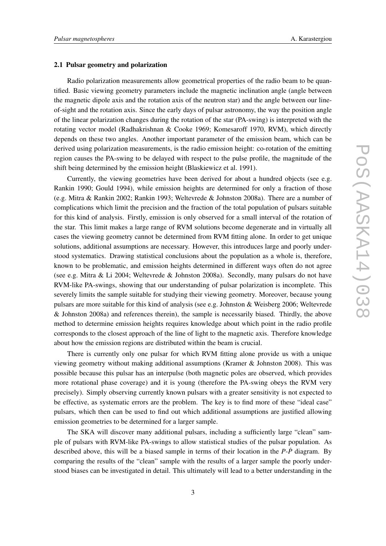## 2.1 Pulsar geometry and polarization

Radio polarization measurements allow geometrical properties of the radio beam to be quantified. Basic viewing geometry parameters include the magnetic inclination angle (angle between the magnetic dipole axis and the rotation axis of the neutron star) and the angle between our lineof-sight and the rotation axis. Since the early days of pulsar astronomy, the way the position angle of the linear polarization changes during the rotation of the star (PA-swing) is interpreted with the rotating vector model (Radhakrishnan & Cooke 1969; Komesaroff 1970, RVM), which directly depends on these two angles. Another important parameter of the emission beam, which can be derived using polarization measurements, is the radio emission height: co-rotation of the emitting region causes the PA-swing to be delayed with respect to the pulse profile, the magnitude of the shift being determined by the emission height (Blaskiewicz et al. 1991).

Currently, the viewing geometries have been derived for about a hundred objects (see e.g. Rankin 1990; Gould 1994), while emission heights are determined for only a fraction of those (e.g. Mitra & Rankin 2002; Rankin 1993; Weltevrede & Johnston 2008a). There are a number of complications which limit the precision and the fraction of the total population of pulsars suitable for this kind of analysis. Firstly, emission is only observed for a small interval of the rotation of the star. This limit makes a large range of RVM solutions become degenerate and in virtually all cases the viewing geometry cannot be determined from RVM fitting alone. In order to get unique solutions, additional assumptions are necessary. However, this introduces large and poorly understood systematics. Drawing statistical conclusions about the population as a whole is, therefore, known to be problematic, and emission heights determined in different ways often do not agree (see e.g. Mitra & Li 2004; Weltevrede & Johnston 2008a). Secondly, many pulsars do not have RVM-like PA-swings, showing that our understanding of pulsar polarization is incomplete. This severely limits the sample suitable for studying their viewing geometry. Moreover, because young pulsars are more suitable for this kind of analysis (see e.g. Johnston & Weisberg 2006; Weltevrede & Johnston 2008a) and references therein), the sample is necessarily biased. Thirdly, the above method to determine emission heights requires knowledge about which point in the radio profile corresponds to the closest approach of the line of light to the magnetic axis. Therefore knowledge about how the emission regions are distributed within the beam is crucial.

There is currently only one pulsar for which RVM fitting alone provide us with a unique viewing geometry without making additional assumptions (Kramer & Johnston 2008). This was possible because this pulsar has an interpulse (both magnetic poles are observed, which provides more rotational phase coverage) and it is young (therefore the PA-swing obeys the RVM very precisely). Simply observing currently known pulsars with a greater sensitivity is not expected to be effective, as systematic errors are the problem. The key is to find more of these "ideal case" pulsars, which then can be used to find out which additional assumptions are justified allowing emission geometries to be determined for a larger sample.

The SKA will discover many additional pulsars, including a sufficiently large "clean" sample of pulsars with RVM-like PA-swings to allow statistical studies of the pulsar population. As described above, this will be a biased sample in terms of their location in the *P*-*P*˙ diagram. By comparing the results of the "clean" sample with the results of a larger sample the poorly understood biases can be investigated in detail. This ultimately will lead to a better understanding in the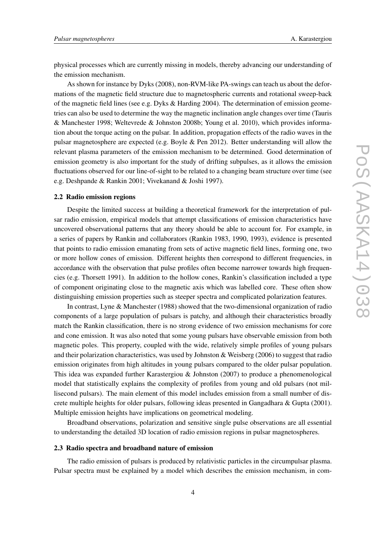physical processes which are currently missing in models, thereby advancing our understanding of the emission mechanism.

As shown for instance by Dyks (2008), non-RVM-like PA-swings can teach us about the deformations of the magnetic field structure due to magnetospheric currents and rotational sweep-back of the magnetic field lines (see e.g. Dyks & Harding 2004). The determination of emission geometries can also be used to determine the way the magnetic inclination angle changes over time (Tauris & Manchester 1998; Weltevrede & Johnston 2008b; Young et al. 2010), which provides information about the torque acting on the pulsar. In addition, propagation effects of the radio waves in the pulsar magnetosphere are expected (e.g. Boyle & Pen 2012). Better understanding will allow the relevant plasma parameters of the emission mechanism to be determined. Good determination of emission geometry is also important for the study of drifting subpulses, as it allows the emission fluctuations observed for our line-of-sight to be related to a changing beam structure over time (see e.g. Deshpande & Rankin 2001; Vivekanand & Joshi 1997).

## 2.2 Radio emission regions

Despite the limited success at building a theoretical framework for the interpretation of pulsar radio emission, empirical models that attempt classifications of emission characteristics have uncovered observational patterns that any theory should be able to account for. For example, in a series of papers by Rankin and collaborators (Rankin 1983, 1990, 1993), evidence is presented that points to radio emission emanating from sets of active magnetic field lines, forming one, two or more hollow cones of emission. Different heights then correspond to different frequencies, in accordance with the observation that pulse profiles often become narrower towards high frequencies (e.g. Thorsett 1991). In addition to the hollow cones, Rankin's classification included a type of component originating close to the magnetic axis which was labelled core. These often show distinguishing emission properties such as steeper spectra and complicated polarization features.

In contrast, Lyne & Manchester (1988) showed that the two-dimensional organization of radio components of a large population of pulsars is patchy, and although their characteristics broadly match the Rankin classification, there is no strong evidence of two emission mechanisms for core and cone emission. It was also noted that some young pulsars have observable emission from both magnetic poles. This property, coupled with the wide, relatively simple profiles of young pulsars and their polarization characteristics, was used by Johnston & Weisberg (2006) to suggest that radio emission originates from high altitudes in young pulsars compared to the older pulsar population. This idea was expanded further Karastergiou & Johnston (2007) to produce a phenomenological model that statistically explains the complexity of profiles from young and old pulsars (not millisecond pulsars). The main element of this model includes emission from a small number of discrete multiple heights for older pulsars, following ideas presented in Gangadhara & Gupta (2001). Multiple emission heights have implications on geometrical modeling.

Broadband observations, polarization and sensitive single pulse observations are all essential to understanding the detailed 3D location of radio emission regions in pulsar magnetospheres.

#### 2.3 Radio spectra and broadband nature of emission

The radio emission of pulsars is produced by relativistic particles in the circumpulsar plasma. Pulsar spectra must be explained by a model which describes the emission mechanism, in com-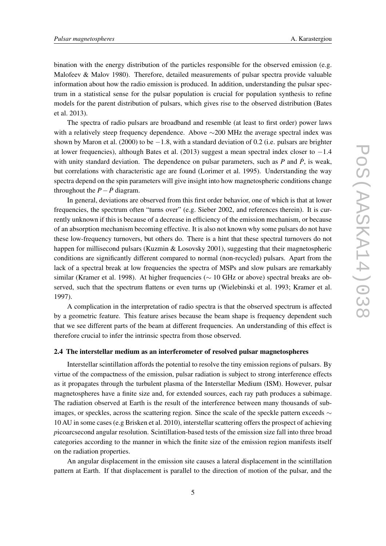bination with the energy distribution of the particles responsible for the observed emission (e.g. Malofeev & Malov 1980). Therefore, detailed measurements of pulsar spectra provide valuable information about how the radio emission is produced. In addition, understanding the pulsar spectrum in a statistical sense for the pulsar population is crucial for population synthesis to refine models for the parent distribution of pulsars, which gives rise to the observed distribution (Bates et al. 2013).

The spectra of radio pulsars are broadband and resemble (at least to first order) power laws with a relatively steep frequency dependence. Above ∼200 MHz the average spectral index was shown by Maron et al. (2000) to be  $-1.8$ , with a standard deviation of 0.2 (i.e. pulsars are brighter at lower frequencies), although Bates et al. (2013) suggest a mean spectral index closer to  $-1.4$ with unity standard deviation. The dependence on pulsar parameters, such as  $P$  and  $\dot{P}$ , is weak, but correlations with characteristic age are found (Lorimer et al. 1995). Understanding the way spectra depend on the spin parameters will give insight into how magnetospheric conditions change throughout the  $P - \dot{P}$  diagram.

In general, deviations are observed from this first order behavior, one of which is that at lower frequencies, the spectrum often "turns over" (e.g. Sieber 2002, and references therein). It is currently unknown if this is because of a decrease in efficiency of the emission mechanism, or because of an absorption mechanism becoming effective. It is also not known why some pulsars do not have these low-frequency turnovers, but others do. There is a hint that these spectral turnovers do not happen for millisecond pulsars (Kuzmin & Losovsky 2001), suggesting that their magnetospheric conditions are significantly different compared to normal (non-recycled) pulsars. Apart from the lack of a spectral break at low frequencies the spectra of MSPs and slow pulsars are remarkably similar (Kramer et al. 1998). At higher frequencies ( $\sim 10$  GHz or above) spectral breaks are observed, such that the spectrum flattens or even turns up (Wielebinski et al. 1993; Kramer et al. 1997).

A complication in the interpretation of radio spectra is that the observed spectrum is affected by a geometric feature. This feature arises because the beam shape is frequency dependent such that we see different parts of the beam at different frequencies. An understanding of this effect is therefore crucial to infer the intrinsic spectra from those observed.

## 2.4 The interstellar medium as an interferometer of resolved pulsar magnetospheres

Interstellar scintillation affords the potential to resolve the tiny emission regions of pulsars. By virtue of the compactness of the emission, pulsar radiation is subject to strong interference effects as it propagates through the turbulent plasma of the Interstellar Medium (ISM). However, pulsar magnetospheres have a finite size and, for extended sources, each ray path produces a subimage. The radiation observed at Earth is the result of the interference between many thousands of subimages, or speckles, across the scattering region. Since the scale of the speckle pattern exceeds  $\sim$ 10 AU in some cases (e.g Brisken et al. 2010), interstellar scattering offers the prospect of achieving *p*icoarcsecond angular resolution. Scintillation-based tests of the emission size fall into three broad categories according to the manner in which the finite size of the emission region manifests itself on the radiation properties.

An angular displacement in the emission site causes a lateral displacement in the scintillation pattern at Earth. If that displacement is parallel to the direction of motion of the pulsar, and the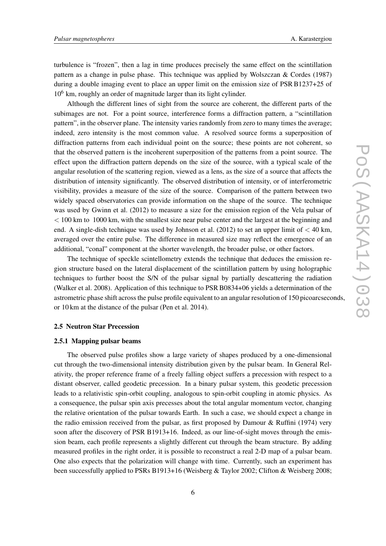turbulence is "frozen", then a lag in time produces precisely the same effect on the scintillation pattern as a change in pulse phase. This technique was applied by Wolszczan & Cordes (1987) during a double imaging event to place an upper limit on the emission size of PSR B1237+25 of  $10<sup>6</sup>$  km, roughly an order of magnitude larger than its light cylinder.

Although the different lines of sight from the source are coherent, the different parts of the subimages are not. For a point source, interference forms a diffraction pattern, a "scintillation pattern", in the observer plane. The intensity varies randomly from zero to many times the average; indeed, zero intensity is the most common value. A resolved source forms a superposition of diffraction patterns from each individual point on the source; these points are not coherent, so that the observed pattern is the incoherent superposition of the patterns from a point source. The effect upon the diffraction pattern depends on the size of the source, with a typical scale of the angular resolution of the scattering region, viewed as a lens, as the size of a source that affects the distribution of intensity significantly. The observed distribution of intensity, or of interferometric visibility, provides a measure of the size of the source. Comparison of the pattern between two widely spaced observatories can provide information on the shape of the source. The technique was used by Gwinn et al. (2012) to measure a size for the emission region of the Vela pulsar of  $<$  100 km to 1000 km, with the smallest size near pulse center and the largest at the beginning and end. A single-dish technique was used by Johnson et al.  $(2012)$  to set an upper limit of  $<$  40 km, averaged over the entire pulse. The difference in measured size may reflect the emergence of an additional, "conal" component at the shorter wavelength, the broader pulse, or other factors.

The technique of speckle scintellometry extends the technique that deduces the emission region structure based on the lateral displacement of the scintillation pattern by using holographic techniques to further boost the S/N of the pulsar signal by partially descattering the radiation (Walker et al. 2008). Application of this technique to PSR B0834+06 yields a determination of the astrometric phase shift across the pulse profile equivalent to an angular resolution of 150 picoarcseconds, or 10 km at the distance of the pulsar (Pen et al. 2014).

#### 2.5 Neutron Star Precession

#### 2.5.1 Mapping pulsar beams

The observed pulse profiles show a large variety of shapes produced by a one-dimensional cut through the two-dimensional intensity distribution given by the pulsar beam. In General Relativity, the proper reference frame of a freely falling object suffers a precession with respect to a distant observer, called geodetic precession. In a binary pulsar system, this geodetic precession leads to a relativistic spin-orbit coupling, analogous to spin-orbit coupling in atomic physics. As a consequence, the pulsar spin axis precesses about the total angular momentum vector, changing the relative orientation of the pulsar towards Earth. In such a case, we should expect a change in the radio emission received from the pulsar, as first proposed by Damour  $\&$  Ruffini (1974) very soon after the discovery of PSR B1913+16. Indeed, as our line-of-sight moves through the emission beam, each profile represents a slightly different cut through the beam structure. By adding measured profiles in the right order, it is possible to reconstruct a real 2-D map of a pulsar beam. One also expects that the polarization will change with time. Currently, such an experiment has been successfully applied to PSRs B1913+16 (Weisberg & Taylor 2002; Clifton & Weisberg 2008;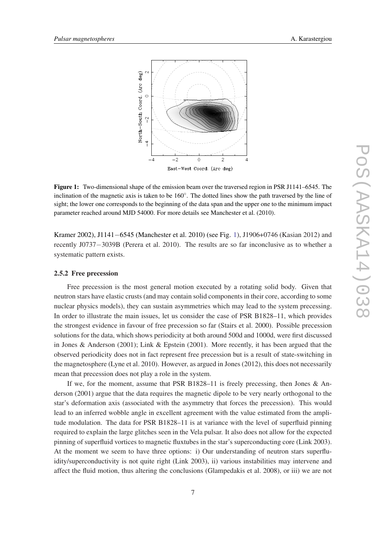

Figure 1: Two-dimensional shape of the emission beam over the traversed region in PSR J1141–6545. The inclination of the magnetic axis is taken to be 160°. The dotted lines show the path traversed by the line of sight; the lower one corresponds to the beginning of the data span and the upper one to the minimum impact parameter reached around MJD 54000. For more details see Manchester et al. (2010).

Kramer 2002), J1141−6545 (Manchester et al. 2010) (see Fig. 1), J1906+0746 (Kasian 2012) and recently J0737−3039B (Perera et al. 2010). The results are so far inconclusive as to whether a systematic pattern exists.

## 2.5.2 Free precession

Free precession is the most general motion executed by a rotating solid body. Given that neutron stars have elastic crusts (and may contain solid components in their core, according to some nuclear physics models), they can sustain asymmetries which may lead to the system precessing. In order to illustrate the main issues, let us consider the case of PSR B1828–11, which provides the strongest evidence in favour of free precession so far (Stairs et al. 2000). Possible precession solutions for the data, which shows periodicity at both around 500d and 1000d, were first discussed in Jones & Anderson (2001); Link & Epstein (2001). More recently, it has been argued that the observed periodicity does not in fact represent free precession but is a result of state-switching in the magnetosphere (Lyne et al. 2010). However, as argued in Jones (2012), this does not necessarily mean that precession does not play a role in the system.

If we, for the moment, assume that PSR B1828–11 is freely precessing, then Jones & Anderson (2001) argue that the data requires the magnetic dipole to be very nearly orthogonal to the star's deformation axis (associated with the asymmetry that forces the precession). This would lead to an inferred wobble angle in excellent agreement with the value estimated from the amplitude modulation. The data for PSR B1828–11 is at variance with the level of superfluid pinning required to explain the large glitches seen in the Vela pulsar. It also does not allow for the expected pinning of superfluid vortices to magnetic fluxtubes in the star's superconducting core (Link 2003). At the moment we seem to have three options: i) Our understanding of neutron stars superfluidity/superconductivity is not quite right (Link 2003), ii) various instabilities may intervene and affect the fluid motion, thus altering the conclusions (Glampedakis et al. 2008), or iii) we are not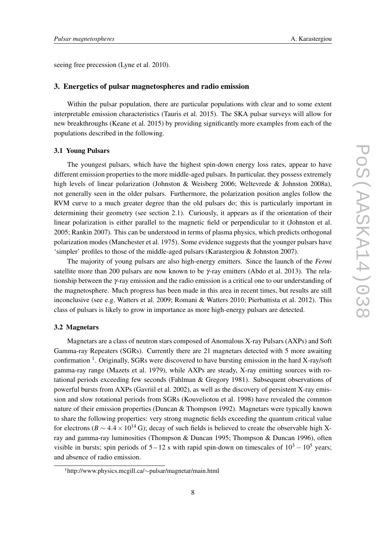seeing free precession (Lyne et al. 2010).

#### 3. Energetics of pulsar magnetospheres and radio emission

Within the pulsar population, there are particular populations with clear and to some extent interpretable emission characteristics (Tauris et al. 2015). The SKA pulsar surveys will allow for new breakthroughs (Keane et al. 2015) by providing significantly more examples from each of the populations described in the following.

#### 3.1 Young Pulsars

The youngest pulsars, which have the highest spin-down energy loss rates, appear to have different emission properties to the more middle-aged pulsars. In particular, they possess extremely high levels of linear polarization (Johnston & Weisberg 2006; Weltevrede & Johnston 2008a), not generally seen in the older pulsars. Furthermore, the polarization position angles follow the RVM curve to a much greater degree than the old pulsars do; this is particularly important in determining their geometry (see section 2.1). Curiously, it appears as if the orientation of their linear polarization is either parallel to the magnetic field or perpendicular to it (Johnston et al. 2005; Rankin 2007). This can be understood in terms of plasma physics, which predicts orthogonal polarization modes (Manchester et al. 1975). Some evidence suggests that the younger pulsars have 'simpler' profiles to those of the middle-aged pulsars (Karastergiou & Johnston 2007).

The majority of young pulsars are also high-energy emitters. Since the launch of the *Fermi* satellite more than 200 pulsars are now known to be  $\gamma$ -ray emitters (Abdo et al. 2013). The relationship between the γ-ray emission and the radio emission is a critical one to our understanding of the magnetosphere. Much progress has been made in this area in recent times, but results are still inconclusive (see e.g. Watters et al. 2009; Romani & Watters 2010; Pierbattista et al. 2012). This class of pulsars is likely to grow in importance as more high-energy pulsars are detected.

#### 3.2 Magnetars

Magnetars are a class of neutron stars composed of Anomalous X-ray Pulsars (AXPs) and Soft Gamma-ray Repeaters (SGRs). Currently there are 21 magnetars detected with 5 more awaiting confirmation <sup>1</sup>. Originally, SGRs were discovered to have bursting emission in the hard X-ray/soft gamma-ray range (Mazets et al. 1979), while AXPs are steady, X-ray emitting sources with rotational periods exceeding few seconds (Fahlman & Gregory 1981). Subsequent observations of powerful bursts from AXPs (Gavriil et al. 2002), as well as the discovery of persistent X-ray emission and slow rotational periods from SGRs (Kouveliotou et al. 1998) have revealed the common nature of their emission properties (Duncan & Thompson 1992). Magnetars were typically known to share the following properties: very strong magnetic fields exceeding the quantum critical value for electrons ( $B \sim 4.4 \times 10^{14}$  G); decay of such fields is believed to create the observable high Xray and gamma-ray luminosities (Thompson & Duncan 1995; Thompson & Duncan 1996), often visible in bursts; spin periods of  $5 - 12$  s with rapid spin-down on timescales of  $10^3 - 10^5$  years; and absence of radio emission.

<sup>1</sup>http://www.physics.mcgill.ca/∼pulsar/magnetar/main.html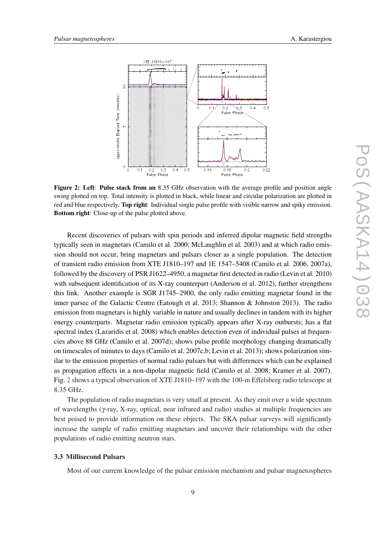

Figure 2: Left: Pulse stack from an 8.35 GHz observation with the average profile and position angle swing plotted on top. Total intensity is plotted in black, while linear and circular polarization are plotted in red and blue respectively. Top right: Individual single pulse profile with visible narrow and spiky emission. Bottom right: Close-up of the pulse plotted above.

Recent discoveries of pulsars with spin periods and inferred dipolar magnetic field strengths typically seen in magnetars (Camilo et al. 2000; McLaughlin et al. 2003) and at which radio emission should not occur, bring magnetars and pulsars closer as a single population. The detection of transient radio emission from XTE J1810–197 and 1E 1547–5408 (Camilo et al. 2006, 2007a), followed by the discovery of PSR J1622–4950, a magnetar first detected in radio (Levin et al. 2010) with subsequent identification of its X-ray counterpart (Anderson et al. 2012), further strengthens this link. Another example is SGR J1745–2900, the only radio emitting magnetar found in the inner parsec of the Galactic Centre (Eatough et al. 2013; Shannon & Johnston 2013). The radio emission from magnetars is highly variable in nature and usually declines in tandem with its higher energy counterparts. Magnetar radio emission typically appears after X-ray outbursts; has a flat spectral index (Lazaridis et al. 2008) which enables detection even of individual pulses at frequencies above 88 GHz (Camilo et al. 2007d); shows pulse profile morphology changing dramatically on timescales of minutes to days (Camilo et al. 2007c,b; Levin et al. 2013); shows polarization similar to the emission properties of normal radio pulsars but with differences which can be explained as propagation effects in a non-dipolar magnetic field (Camilo et al. 2008; Kramer et al. 2007). Fig. 2 shows a typical observation of XTE J1810–197 with the 100-m Effelsberg radio telescope at 8.35 GHz.

The population of radio magnetars is very small at present. As they emit over a wide spectrum of wavelengths (γ-ray, X-ray, optical, near infrared and radio) studies at multiple frequencies are best poised to provide information on these objects. The SKA pulsar surveys will significantly increase the sample of radio emitting magnetars and uncover their relationships with the other populations of radio emitting neutron stars.

## 3.3 Millisecond Pulsars

Most of our current knowledge of the pulsar emission mechanism and pulsar magnetospheres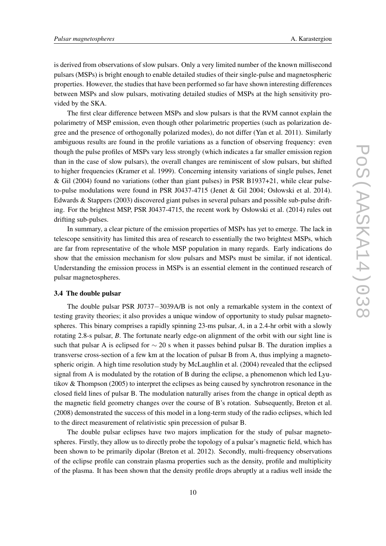is derived from observations of slow pulsars. Only a very limited number of the known millisecond pulsars (MSPs) is bright enough to enable detailed studies of their single-pulse and magnetospheric properties. However, the studies that have been performed so far have shown interesting differences between MSPs and slow pulsars, motivating detailed studies of MSPs at the high sensitivity provided by the SKA.

The first clear difference between MSPs and slow pulsars is that the RVM cannot explain the polarimetry of MSP emission, even though other polarimetric properties (such as polarization degree and the presence of orthogonally polarized modes), do not differ (Yan et al. 2011). Similarly ambiguous results are found in the profile variations as a function of observing frequency: even though the pulse profiles of MSPs vary less strongly (which indicates a far smaller emission region than in the case of slow pulsars), the overall changes are reminiscent of slow pulsars, but shifted to higher frequencies (Kramer et al. 1999). Concerning intensity variations of single pulses, Jenet & Gil (2004) found no variations (other than giant pulses) in PSR B1937+21, while clear pulseto-pulse modulations were found in PSR J0437-4715 (Jenet & Gil 2004; Osłowski et al. 2014). Edwards & Stappers (2003) discovered giant pulses in several pulsars and possible sub-pulse drifting. For the brightest MSP, PSR J0437-4715, the recent work by Osłowski et al. (2014) rules out drifting sub-pulses.

In summary, a clear picture of the emission properties of MSPs has yet to emerge. The lack in telescope sensitivity has limited this area of research to essentially the two brightest MSPs, which are far from representative of the whole MSP population in many regards. Early indications do show that the emission mechanism for slow pulsars and MSPs must be similar, if not identical. Understanding the emission process in MSPs is an essential element in the continued research of pulsar magnetospheres.

## 3.4 The double pulsar

The double pulsar PSR J0737−3039A/B is not only a remarkable system in the context of testing gravity theories; it also provides a unique window of opportunity to study pulsar magnetospheres. This binary comprises a rapidly spinning 23-ms pulsar, *A*, in a 2.4-hr orbit with a slowly rotating 2.8-s pulsar, *B*. The fortunate nearly edge-on alignment of the orbit with our sight line is such that pulsar A is eclipsed for  $\sim$  20 s when it passes behind pulsar B. The duration implies a transverse cross-section of a few km at the location of pulsar B from A, thus implying a magnetospheric origin. A high time resolution study by McLaughlin et al. (2004) revealed that the eclipsed signal from A is modulated by the rotation of B during the eclipse, a phenomenon which led Lyutikov & Thompson (2005) to interpret the eclipses as being caused by synchrotron resonance in the closed field lines of pulsar B. The modulation naturally arises from the change in optical depth as the magnetic field geometry changes over the course of B's rotation. Subsequently, Breton et al. (2008) demonstrated the success of this model in a long-term study of the radio eclipses, which led to the direct measurement of relativistic spin precession of pulsar B.

The double pulsar eclipses have two majors implication for the study of pulsar magnetospheres. Firstly, they allow us to directly probe the topology of a pulsar's magnetic field, which has been shown to be primarily dipolar (Breton et al. 2012). Secondly, multi-frequency observations of the eclipse profile can constrain plasma properties such as the density, profile and multiplicity of the plasma. It has been shown that the density profile drops abruptly at a radius well inside the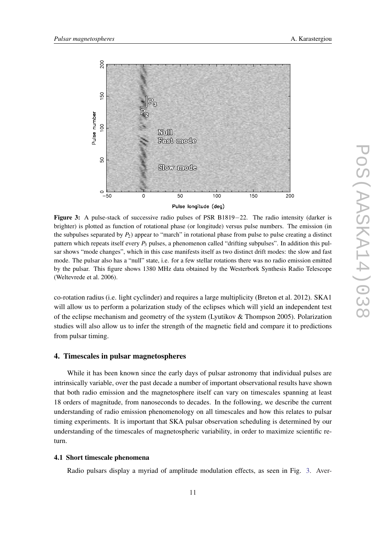

Figure 3: A pulse-stack of successive radio pulses of PSR B1819−22. The radio intensity (darker is brighter) is plotted as function of rotational phase (or longitude) versus pulse numbers. The emission (in the subpulses separated by  $P_2$ ) appear to "march" in rotational phase from pulse to pulse creating a distinct pattern which repeats itself every *P*<sup>3</sup> pulses, a phenomenon called "drifting subpulses". In addition this pulsar shows "mode changes", which in this case manifests itself as two distinct drift modes: the slow and fast mode. The pulsar also has a "null" state, i.e. for a few stellar rotations there was no radio emission emitted by the pulsar. This figure shows 1380 MHz data obtained by the Westerbork Synthesis Radio Telescope (Weltevrede et al. 2006).

co-rotation radius (i.e. light cyclinder) and requires a large multiplicity (Breton et al. 2012). SKA1 will allow us to perform a polarization study of the eclipses which will yield an independent test of the eclipse mechanism and geometry of the system (Lyutikov & Thompson 2005). Polarization studies will also allow us to infer the strength of the magnetic field and compare it to predictions from pulsar timing.

## 4. Timescales in pulsar magnetospheres

While it has been known since the early days of pulsar astronomy that individual pulses are intrinsically variable, over the past decade a number of important observational results have shown that both radio emission and the magnetosphere itself can vary on timescales spanning at least 18 orders of magnitude, from nanoseconds to decades. In the following, we describe the current understanding of radio emission phenomenology on all timescales and how this relates to pulsar timing experiments. It is important that SKA pulsar observation scheduling is determined by our understanding of the timescales of magnetospheric variability, in order to maximize scientific return.

## 4.1 Short timescale phenomena

Radio pulsars display a myriad of amplitude modulation effects, as seen in Fig. 3. Aver-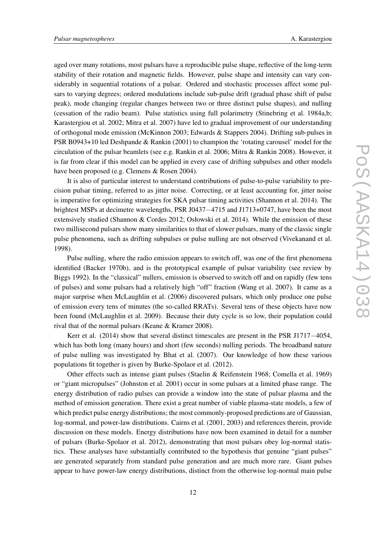aged over many rotations, most pulsars have a reproducible pulse shape, reflective of the long-term stability of their rotation and magnetic fields. However, pulse shape and intensity can vary considerably in sequential rotations of a pulsar. Ordered and stochastic processes affect some pulsars to varying degrees; ordered modulations include sub-pulse drift (gradual phase shift of pulse peak), mode changing (regular changes between two or three distinct pulse shapes), and nulling (cessation of the radio beam). Pulse statistics using full polarimetry (Stinebring et al. 1984a,b; Karastergiou et al. 2002; Mitra et al. 2007) have led to gradual improvement of our understanding of orthogonal mode emission (McKinnon 2003; Edwards & Stappers 2004). Drifting sub-pulses in PSR B0943+10 led Deshpande & Rankin (2001) to champion the 'rotating carousel' model for the circulation of the pulsar beamlets (see e.g. Rankin et al. 2006; Mitra & Rankin 2008). However, it is far from clear if this model can be applied in every case of drifting subpulses and other models have been proposed (e.g. Clemens & Rosen 2004).

It is also of particular interest to understand contributions of pulse-to-pulse variability to precision pulsar timing, referred to as jitter noise. Correcting, or at least accounting for, jitter noise is imperative for optimizing strategies for SKA pulsar timing activities (Shannon et al. 2014). The brightest MSPs at decimetre wavelengths, PSR J0437−4715 and J1713+0747, have been the most extensively studied (Shannon & Cordes 2012; Osłowski et al. 2014). While the emission of these two millisecond pulsars show many similarities to that of slower pulsars, many of the classic single pulse phenomena, such as drifting subpulses or pulse nulling are not observed (Vivekanand et al. 1998).

Pulse nulling, where the radio emission appears to switch off, was one of the first phenomena identified (Backer 1970b), and is the prototypical example of pulsar variability (see review by Biggs 1992). In the "classical" nullers, emission is observed to switch off and on rapidly (few tens of pulses) and some pulsars had a relatively high "off" fraction (Wang et al. 2007). It came as a major surprise when McLaughlin et al. (2006) discovered pulsars, which only produce one pulse of emission every tens of minutes (the so-called RRATs). Several tens of these objects have now been found (McLaughlin et al. 2009). Because their duty cycle is so low, their population could rival that of the normal pulsars (Keane & Kramer 2008).

Kerr et al. (2014) show that several distinct timescales are present in the PSR J1717−4054, which has both long (many hours) and short (few seconds) nulling periods. The broadband nature of pulse nulling was investigated by Bhat et al. (2007). Our knowledge of how these various populations fit together is given by Burke-Spolaor et al. (2012).

Other effects such as intense giant pulses (Staelin & Reifenstein 1968; Comella et al. 1969) or "giant micropulses" (Johnston et al. 2001) occur in some pulsars at a limited phase range. The energy distribution of radio pulses can provide a window into the state of pulsar plasma and the method of emission generation. There exist a great number of viable plasma-state models, a few of which predict pulse energy distributions; the most commonly-proposed predictions are of Gaussian, log-normal, and power-law distributions. Cairns et al. (2001, 2003) and references therein, provide discussion on these models. Energy distributions have now been examined in detail for a number of pulsars (Burke-Spolaor et al. 2012), demonstrating that most pulsars obey log-normal statistics. These analyses have substantially contributed to the hypothesis that genuine "giant pulses" are generated separately from standard pulse generation and are much more rare. Giant pulses appear to have power-law energy distributions, distinct from the otherwise log-normal main pulse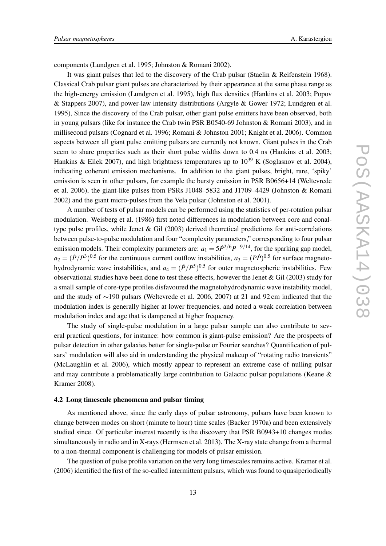components (Lundgren et al. 1995; Johnston & Romani 2002).

It was giant pulses that led to the discovery of the Crab pulsar (Staelin & Reifenstein 1968). Classical Crab pulsar giant pulses are characterized by their appearance at the same phase range as the high-energy emission (Lundgren et al. 1995), high flux densities (Hankins et al. 2003; Popov & Stappers 2007), and power-law intensity distributions (Argyle & Gower 1972; Lundgren et al. 1995), Since the discovery of the Crab pulsar, other giant pulse emitters have been observed, both in young pulsars (like for instance the Crab twin PSR B0540-69 Johnston & Romani 2003), and in millisecond pulsars (Cognard et al. 1996; Romani & Johnston 2001; Knight et al. 2006). Common aspects between all giant pulse emitting pulsars are currently not known. Giant pulses in the Crab seem to share properties such as their short pulse widths down to 0.4 ns (Hankins et al. 2003; Hankins & Eilek 2007), and high brightness temperatures up to  $10^{39}$  K (Soglasnov et al. 2004), indicating coherent emission mechanisms. In addition to the giant pulses, bright, rare, 'spiky' emission is seen in other pulsars, for example the bursty emission in PSR B0656+14 (Weltevrede et al. 2006), the giant-like pulses from PSRs J1048–5832 and J1709–4429 (Johnston & Romani 2002) and the giant micro-pulses from the Vela pulsar (Johnston et al. 2001).

A number of tests of pulsar models can be performed using the statistics of per-rotation pulsar modulation. Weisberg et al. (1986) first noted differences in modulation between core and conaltype pulse profiles, while Jenet & Gil (2003) derived theoretical predictions for anti-correlations between pulse-to-pulse modulation and four "complexity parameters," corresponding to four pulsar emission models. Their complexity parameters are:  $a_1 = 5\dot{P}^{2/6}P^{-9/14}$ , for the sparking gap model,  $a_2 = (P/P^3)^{0.5}$  for the continuous current outflow instabilities,  $a_3 = (P\dot{P})^{0.5}$  for surface magnetohydrodynamic wave instabilities, and  $a_4 = (P/P^5)^{0.5}$  for outer magnetospheric instabilities. Few observational studies have been done to test these effects, however the Jenet  $\&$  Gil (2003) study for a small sample of core-type profiles disfavoured the magnetohydrodynamic wave instability model, and the study of ∼190 pulsars (Weltevrede et al. 2006, 2007) at 21 and 92 cm indicated that the modulation index is generally higher at lower frequencies, and noted a weak correlation between modulation index and age that is dampened at higher frequency.

The study of single-pulse modulation in a large pulsar sample can also contribute to several practical questions, for instance: how common is giant-pulse emission? Are the prospects of pulsar detection in other galaxies better for single-pulse or Fourier searches? Quantification of pulsars' modulation will also aid in understanding the physical makeup of "rotating radio transients" (McLaughlin et al. 2006), which mostly appear to represent an extreme case of nulling pulsar and may contribute a problematically large contribution to Galactic pulsar populations (Keane & Kramer 2008).

## 4.2 Long timescale phenomena and pulsar timing

As mentioned above, since the early days of pulsar astronomy, pulsars have been known to change between modes on short (minute to hour) time scales (Backer 1970a) and been extensively studied since. Of particular interest recently is the discovery that PSR B0943+10 changes modes simultaneously in radio and in X-rays (Hermsen et al. 2013). The X-ray state change from a thermal to a non-thermal component is challenging for models of pulsar emission.

The question of pulse profile variation on the very long timescales remains active. Kramer et al. (2006) identified the first of the so-called intermittent pulsars, which was found to quasiperiodically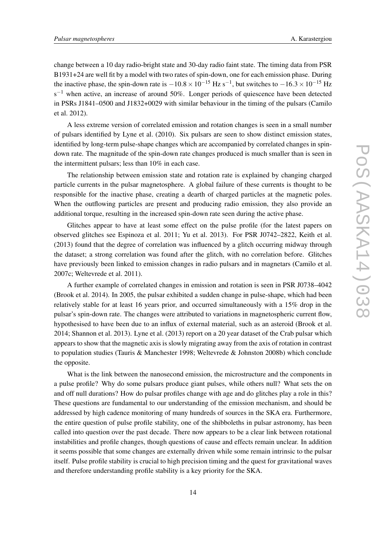change between a 10 day radio-bright state and 30-day radio faint state. The timing data from PSR B1931+24 are well fit by a model with two rates of spin-down, one for each emission phase. During the inactive phase, the spin-down rate is  $-10.8 \times 10^{-15}$  Hz s<sup>-1</sup>, but switches to  $-16.3 \times 10^{-15}$  Hz  $s^{-1}$  when active, an increase of around 50%. Longer periods of quiescence have been detected in PSRs J1841–0500 and J1832+0029 with similar behaviour in the timing of the pulsars (Camilo et al. 2012).

A less extreme version of correlated emission and rotation changes is seen in a small number of pulsars identified by Lyne et al. (2010). Six pulsars are seen to show distinct emission states, identified by long-term pulse-shape changes which are accompanied by correlated changes in spindown rate. The magnitude of the spin-down rate changes produced is much smaller than is seen in the intermittent pulsars; less than 10% in each case.

The relationship between emission state and rotation rate is explained by changing charged particle currents in the pulsar magnetosphere. A global failure of these currents is thought to be responsible for the inactive phase, creating a dearth of charged particles at the magnetic poles. When the outflowing particles are present and producing radio emission, they also provide an additional torque, resulting in the increased spin-down rate seen during the active phase.

Glitches appear to have at least some effect on the pulse profile (for the latest papers on observed glitches see Espinoza et al. 2011; Yu et al. 2013). For PSR J0742–2822, Keith et al. (2013) found that the degree of correlation was influenced by a glitch occurring midway through the dataset; a strong correlation was found after the glitch, with no correlation before. Glitches have previously been linked to emission changes in radio pulsars and in magnetars (Camilo et al. 2007c; Weltevrede et al. 2011).

A further example of correlated changes in emission and rotation is seen in PSR J0738–4042 (Brook et al. 2014). In 2005, the pulsar exhibited a sudden change in pulse-shape, which had been relatively stable for at least 16 years prior, and occurred simultaneously with a 15% drop in the pulsar's spin-down rate. The changes were attributed to variations in magnetospheric current flow, hypothesised to have been due to an influx of external material, such as an asteroid (Brook et al. 2014; Shannon et al. 2013). Lyne et al. (2013) report on a 20 year dataset of the Crab pulsar which appears to show that the magnetic axis is slowly migrating away from the axis of rotation in contrast to population studies (Tauris & Manchester 1998; Weltevrede & Johnston 2008b) which conclude the opposite.

What is the link between the nanosecond emission, the microstructure and the components in a pulse profile? Why do some pulsars produce giant pulses, while others null? What sets the on and off null durations? How do pulsar profiles change with age and do glitches play a role in this? These questions are fundamental to our understanding of the emission mechanism, and should be addressed by high cadence monitoring of many hundreds of sources in the SKA era. Furthermore, the entire question of pulse profile stability, one of the shibboleths in pulsar astronomy, has been called into question over the past decade. There now appears to be a clear link between rotational instabilities and profile changes, though questions of cause and effects remain unclear. In addition it seems possible that some changes are externally driven while some remain intrinsic to the pulsar itself. Pulse profile stability is crucial to high precision timing and the quest for gravitational waves and therefore understanding profile stability is a key priority for the SKA.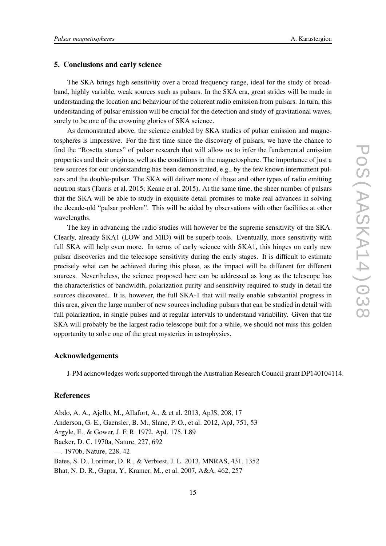## 5. Conclusions and early science

The SKA brings high sensitivity over a broad frequency range, ideal for the study of broadband, highly variable, weak sources such as pulsars. In the SKA era, great strides will be made in understanding the location and behaviour of the coherent radio emission from pulsars. In turn, this understanding of pulsar emission will be crucial for the detection and study of gravitational waves, surely to be one of the crowning glories of SKA science.

As demonstrated above, the science enabled by SKA studies of pulsar emission and magnetospheres is impressive. For the first time since the discovery of pulsars, we have the chance to find the "Rosetta stones" of pulsar research that will allow us to infer the fundamental emission properties and their origin as well as the conditions in the magnetosphere. The importance of just a few sources for our understanding has been demonstrated, e.g., by the few known intermittent pulsars and the double-pulsar. The SKA will deliver more of those and other types of radio emitting neutron stars (Tauris et al. 2015; Keane et al. 2015). At the same time, the sheer number of pulsars that the SKA will be able to study in exquisite detail promises to make real advances in solving the decade-old "pulsar problem". This will be aided by observations with other facilities at other wavelengths.

The key in advancing the radio studies will however be the supreme sensitivity of the SKA. Clearly, already SKA1 (LOW and MID) will be superb tools. Eventually, more sensitivity with full SKA will help even more. In terms of early science with SKA1, this hinges on early new pulsar discoveries and the telecsope sensitivity during the early stages. It is difficult to estimate precisely what can be achieved during this phase, as the impact will be different for different sources. Nevertheless, the science proposed here can be addressed as long as the telescope has the characteristics of bandwidth, polarization purity and sensitivity required to study in detail the sources discovered. It is, however, the full SKA-1 that will really enable substantial progress in this area, given the large number of new sources including pulsars that can be studied in detail with full polarization, in single pulses and at regular intervals to understand variability. Given that the SKA will probably be the largest radio telescope built for a while, we should not miss this golden opportunity to solve one of the great mysteries in astrophysics.

#### Acknowledgements

J-PM acknowledges work supported through the Australian Research Council grant DP140104114.

## **References**

Abdo, A. A., Ajello, M., Allafort, A., & et al. 2013, ApJS, 208, 17 Anderson, G. E., Gaensler, B. M., Slane, P. O., et al. 2012, ApJ, 751, 53 Argyle, E., & Gower, J. F. R. 1972, ApJ, 175, L89 Backer, D. C. 1970a, Nature, 227, 692 —. 1970b, Nature, 228, 42 Bates, S. D., Lorimer, D. R., & Verbiest, J. L. 2013, MNRAS, 431, 1352 Bhat, N. D. R., Gupta, Y., Kramer, M., et al. 2007, A&A, 462, 257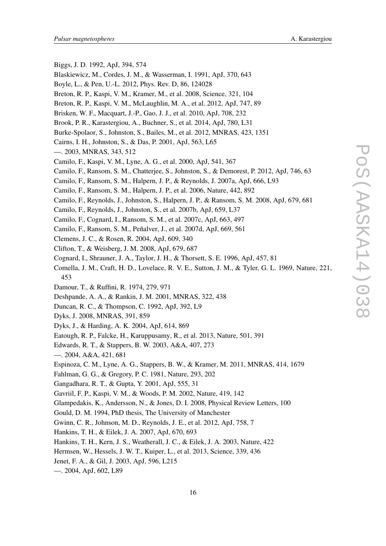- Biggs, J. D. 1992, ApJ, 394, 574 Blaskiewicz, M., Cordes, J. M., & Wasserman, I. 1991, ApJ, 370, 643 Boyle, L., & Pen, U.-L. 2012, Phys. Rev. D, 86, 124028 Breton, R. P., Kaspi, V. M., Kramer, M., et al. 2008, Science, 321, 104 Breton, R. P., Kaspi, V. M., McLaughlin, M. A., et al. 2012, ApJ, 747, 89 Brisken, W. F., Macquart, J.-P., Gao, J. J., et al. 2010, ApJ, 708, 232 Brook, P. R., Karastergiou, A., Buchner, S., et al. 2014, ApJ, 780, L31 Burke-Spolaor, S., Johnston, S., Bailes, M., et al. 2012, MNRAS, 423, 1351 Cairns, I. H., Johnston, S., & Das, P. 2001, ApJ, 563, L65 —. 2003, MNRAS, 343, 512 Camilo, F., Kaspi, V. M., Lyne, A. G., et al. 2000, ApJ, 541, 367 Camilo, F., Ransom, S. M., Chatterjee, S., Johnston, S., & Demorest, P. 2012, ApJ, 746, 63 Camilo, F., Ransom, S. M., Halpern, J. P., & Reynolds, J. 2007a, ApJ, 666, L93 Camilo, F., Ransom, S. M., Halpern, J. P., et al. 2006, Nature, 442, 892 Camilo, F., Reynolds, J., Johnston, S., Halpern, J. P., & Ransom, S. M. 2008, ApJ, 679, 681 Camilo, F., Reynolds, J., Johnston, S., et al. 2007b, ApJ, 659, L37 Camilo, F., Cognard, I., Ransom, S. M., et al. 2007c, ApJ, 663, 497
- Camilo, F., Ransom, S. M., Peñalver, J., et al. 2007d, ApJ, 669, 561
- Clemens, J. C., & Rosen, R. 2004, ApJ, 609, 340
- Clifton, T., & Weisberg, J. M. 2008, ApJ, 679, 687
- Cognard, I., Shrauner, J. A., Taylor, J. H., & Thorsett, S. E. 1996, ApJ, 457, 81
- Comella, J. M., Craft, H. D., Lovelace, R. V. E., Sutton, J. M., & Tyler, G. L. 1969, Nature, 221, 453
- Damour, T., & Ruffini, R. 1974, 279, 971
- Deshpande, A. A., & Rankin, J. M. 2001, MNRAS, 322, 438
- Duncan, R. C., & Thompson, C. 1992, ApJ, 392, L9
- Dyks, J. 2008, MNRAS, 391, 859
- Dyks, J., & Harding, A. K. 2004, ApJ, 614, 869
- Eatough, R. P., Falcke, H., Karuppusamy, R., et al. 2013, Nature, 501, 391
- Edwards, R. T., & Stappers, B. W. 2003, A&A, 407, 273
- —. 2004, A&A, 421, 681
- Espinoza, C. M., Lyne, A. G., Stappers, B. W., & Kramer, M. 2011, MNRAS, 414, 1679
- Fahlman, G. G., & Gregory, P. C. 1981, Nature, 293, 202
- Gangadhara, R. T., & Gupta, Y. 2001, ApJ, 555, 31
- Gavriil, F. P., Kaspi, V. M., & Woods, P. M. 2002, Nature, 419, 142
- Glampedakis, K., Andersson, N., & Jones, D. I. 2008, Physical Review Letters, 100
- Gould, D. M. 1994, PhD thesis, The University of Manchester
- Gwinn, C. R., Johnson, M. D., Reynolds, J. E., et al. 2012, ApJ, 758, 7
- Hankins, T. H., & Eilek, J. A. 2007, ApJ, 670, 693
- Hankins, T. H., Kern, J. S., Weatherall, J. C., & Eilek, J. A. 2003, Nature, 422
- Hermsen, W., Hessels, J. W. T., Kuiper, L., et al. 2013, Science, 339, 436
- Jenet, F. A., & Gil, J. 2003, ApJ, 596, L215
- —. 2004, ApJ, 602, L89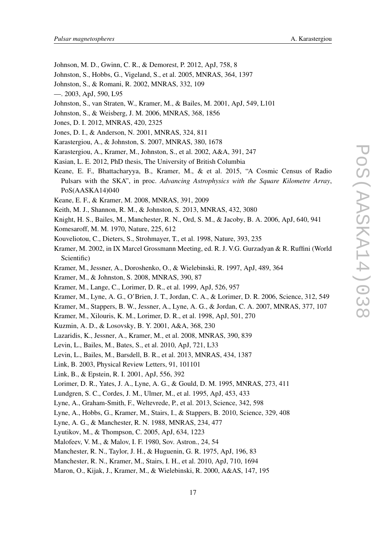- Johnson, M. D., Gwinn, C. R., & Demorest, P. 2012, ApJ, 758, 8
- Johnston, S., Hobbs, G., Vigeland, S., et al. 2005, MNRAS, 364, 1397
- Johnston, S., & Romani, R. 2002, MNRAS, 332, 109
- —. 2003, ApJ, 590, L95
- Johnston, S., van Straten, W., Kramer, M., & Bailes, M. 2001, ApJ, 549, L101
- Johnston, S., & Weisberg, J. M. 2006, MNRAS, 368, 1856
- Jones, D. I. 2012, MNRAS, 420, 2325
- Jones, D. I., & Anderson, N. 2001, MNRAS, 324, 811
- Karastergiou, A., & Johnston, S. 2007, MNRAS, 380, 1678
- Karastergiou, A., Kramer, M., Johnston, S., et al. 2002, A&A, 391, 247
- Kasian, L. E. 2012, PhD thesis, The University of British Columbia
- Keane, E. F., Bhattacharyya, B., Kramer, M., & et al. 2015, "A Cosmic Census of Radio Pulsars with the SKA", in proc. *Advancing Astrophysics with the Square Kilometre Array*, PoS(AASKA14)040
- Keane, E. F., & Kramer, M. 2008, MNRAS, 391, 2009
- Keith, M. J., Shannon, R. M., & Johnston, S. 2013, MNRAS, 432, 3080
- Knight, H. S., Bailes, M., Manchester, R. N., Ord, S. M., & Jacoby, B. A. 2006, ApJ, 640, 941
- Komesaroff, M. M. 1970, Nature, 225, 612
- Kouveliotou, C., Dieters, S., Strohmayer, T., et al. 1998, Nature, 393, 235
- Kramer, M. 2002, in IX Marcel Grossmann Meeting, ed. R. J. V.G. Gurzadyan & R. Ruffini (World Scientific)
- Kramer, M., Jessner, A., Doroshenko, O., & Wielebinski, R. 1997, ApJ, 489, 364
- Kramer, M., & Johnston, S. 2008, MNRAS, 390, 87
- Kramer, M., Lange, C., Lorimer, D. R., et al. 1999, ApJ, 526, 957
- Kramer, M., Lyne, A. G., O'Brien, J. T., Jordan, C. A., & Lorimer, D. R. 2006, Science, 312, 549
- Kramer, M., Stappers, B. W., Jessner, A., Lyne, A. G., & Jordan, C. A. 2007, MNRAS, 377, 107
- Kramer, M., Xilouris, K. M., Lorimer, D. R., et al. 1998, ApJ, 501, 270
- Kuzmin, A. D., & Losovsky, B. Y. 2001, A&A, 368, 230
- Lazaridis, K., Jessner, A., Kramer, M., et al. 2008, MNRAS, 390, 839
- Levin, L., Bailes, M., Bates, S., et al. 2010, ApJ, 721, L33
- Levin, L., Bailes, M., Barsdell, B. R., et al. 2013, MNRAS, 434, 1387
- Link, B. 2003, Physical Review Letters, 91, 101101
- Link, B., & Epstein, R. I. 2001, ApJ, 556, 392
- Lorimer, D. R., Yates, J. A., Lyne, A. G., & Gould, D. M. 1995, MNRAS, 273, 411
- Lundgren, S. C., Cordes, J. M., Ulmer, M., et al. 1995, ApJ, 453, 433
- Lyne, A., Graham-Smith, F., Weltevrede, P., et al. 2013, Science, 342, 598
- Lyne, A., Hobbs, G., Kramer, M., Stairs, I., & Stappers, B. 2010, Science, 329, 408
- Lyne, A. G., & Manchester, R. N. 1988, MNRAS, 234, 477
- Lyutikov, M., & Thompson, C. 2005, ApJ, 634, 1223
- Malofeev, V. M., & Malov, I. F. 1980, Sov. Astron., 24, 54
- Manchester, R. N., Taylor, J. H., & Huguenin, G. R. 1975, ApJ, 196, 83
- Manchester, R. N., Kramer, M., Stairs, I. H., et al. 2010, ApJ, 710, 1694
- Maron, O., Kijak, J., Kramer, M., & Wielebinski, R. 2000, A&AS, 147, 195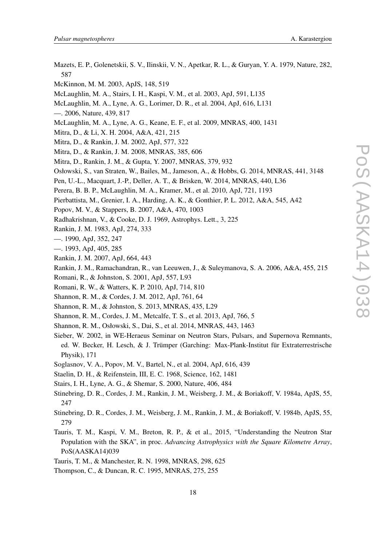- Mazets, E. P., Golenetskii, S. V., Ilinskii, V. N., Apetkar, R. L., & Guryan, Y. A. 1979, Nature, 282, 587
- McKinnon, M. M. 2003, ApJS, 148, 519
- McLaughlin, M. A., Stairs, I. H., Kaspi, V. M., et al. 2003, ApJ, 591, L135
- McLaughlin, M. A., Lyne, A. G., Lorimer, D. R., et al. 2004, ApJ, 616, L131
- —. 2006, Nature, 439, 817
- McLaughlin, M. A., Lyne, A. G., Keane, E. F., et al. 2009, MNRAS, 400, 1431
- Mitra, D., & Li, X. H. 2004, A&A, 421, 215
- Mitra, D., & Rankin, J. M. 2002, ApJ, 577, 322
- Mitra, D., & Rankin, J. M. 2008, MNRAS, 385, 606
- Mitra, D., Rankin, J. M., & Gupta, Y. 2007, MNRAS, 379, 932
- Osłowski, S., van Straten, W., Bailes, M., Jameson, A., & Hobbs, G. 2014, MNRAS, 441, 3148
- Pen, U.-L., Macquart, J.-P., Deller, A. T., & Brisken, W. 2014, MNRAS, 440, L36
- Perera, B. B. P., McLaughlin, M. A., Kramer, M., et al. 2010, ApJ, 721, 1193
- Pierbattista, M., Grenier, I. A., Harding, A. K., & Gonthier, P. L. 2012, A&A, 545, A42
- Popov, M. V., & Stappers, B. 2007, A&A, 470, 1003
- Radhakrishnan, V., & Cooke, D. J. 1969, Astrophys. Lett., 3, 225
- Rankin, J. M. 1983, ApJ, 274, 333
- —. 1990, ApJ, 352, 247
- —. 1993, ApJ, 405, 285
- Rankin, J. M. 2007, ApJ, 664, 443
- Rankin, J. M., Ramachandran, R., van Leeuwen, J., & Suleymanova, S. A. 2006, A&A, 455, 215
- Romani, R., & Johnston, S. 2001, ApJ, 557, L93
- Romani, R. W., & Watters, K. P. 2010, ApJ, 714, 810
- Shannon, R. M., & Cordes, J. M. 2012, ApJ, 761, 64
- Shannon, R. M., & Johnston, S. 2013, MNRAS, 435, L29
- Shannon, R. M., Cordes, J. M., Metcalfe, T. S., et al. 2013, ApJ, 766, 5
- Shannon, R. M., Osłowski, S., Dai, S., et al. 2014, MNRAS, 443, 1463
- Sieber, W. 2002, in WE-Heraeus Seminar on Neutron Stars, Pulsars, and Supernova Remnants, ed. W. Becker, H. Lesch, & J. Trümper (Garching: Max-Plank-Institut für Extraterrestrische Physik), 171
- Soglasnov, V. A., Popov, M. V., Bartel, N., et al. 2004, ApJ, 616, 439
- Staelin, D. H., & Reifenstein, III, E. C. 1968, Science, 162, 1481
- Stairs, I. H., Lyne, A. G., & Shemar, S. 2000, Nature, 406, 484
- Stinebring, D. R., Cordes, J. M., Rankin, J. M., Weisberg, J. M., & Boriakoff, V. 1984a, ApJS, 55, 247
- Stinebring, D. R., Cordes, J. M., Weisberg, J. M., Rankin, J. M., & Boriakoff, V. 1984b, ApJS, 55, 279
- Tauris, T. M., Kaspi, V. M., Breton, R. P., & et al., 2015, "Understanding the Neutron Star Population with the SKA", in proc. *Advancing Astrophysics with the Square Kilometre Array*, PoS(AASKA14)039
- Tauris, T. M., & Manchester, R. N. 1998, MNRAS, 298, 625
- Thompson, C., & Duncan, R. C. 1995, MNRAS, 275, 255